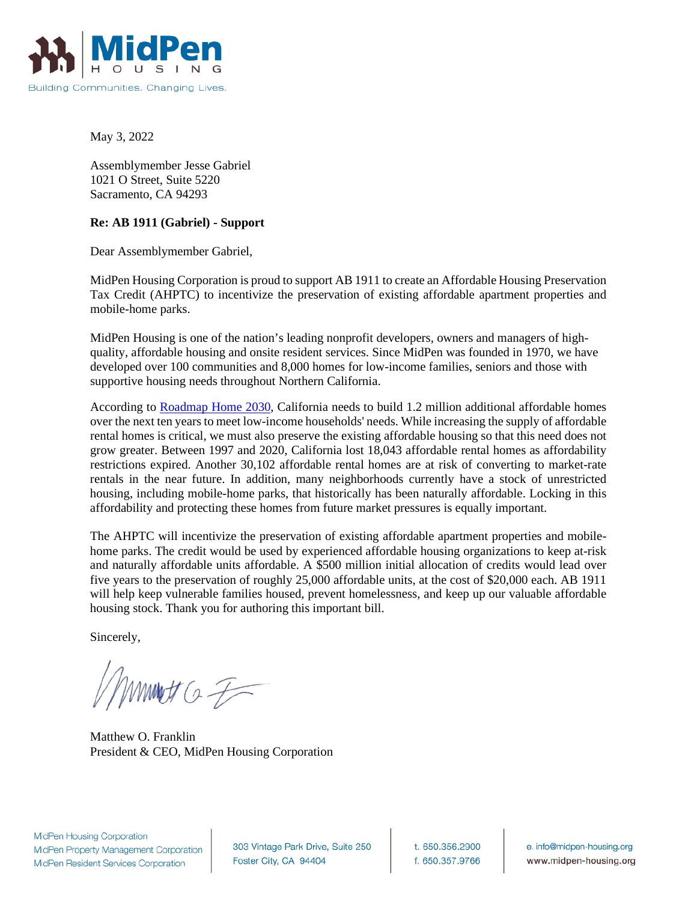

May 3, 2022

Assemblymember Jesse Gabriel 1021 O Street, Suite 5220 Sacramento, CA 94293

## **Re: AB 1911 (Gabriel) - Support**

Dear Assemblymember Gabriel,

MidPen Housing Corporation is proud to support AB 1911 to create an Affordable Housing Preservation Tax Credit (AHPTC) to incentivize the preservation of existing affordable apartment properties and mobile-home parks.

MidPen Housing is one of the nation's leading nonprofit developers, owners and managers of highquality, affordable housing and onsite resident services. Since MidPen was founded in 1970, we have developed over 100 communities and 8,000 homes for low-income families, seniors and those with supportive housing needs throughout Northern California.

According to [Roadmap Home 2030,](https://roadmaphome2030.org/app/uploads/2021/03/Roadmap-Home-Report-1.pdf) California needs to build 1.2 million additional affordable homes over the next ten years to meet low-income households' needs. While increasing the supply of affordable rental homes is critical, we must also preserve the existing affordable housing so that this need does not grow greater. Between 1997 and 2020, California lost 18,043 affordable rental homes as affordability restrictions expired. Another 30,102 affordable rental homes are at risk of converting to market-rate rentals in the near future. In addition, many neighborhoods currently have a stock of unrestricted housing, including mobile-home parks, that historically has been naturally affordable. Locking in this affordability and protecting these homes from future market pressures is equally important.

The AHPTC will incentivize the preservation of existing affordable apartment properties and mobilehome parks. The credit would be used by experienced affordable housing organizations to keep at-risk and naturally affordable units affordable. A \$500 million initial allocation of credits would lead over five years to the preservation of roughly 25,000 affordable units, at the cost of \$20,000 each. AB 1911 will help keep vulnerable families housed, prevent homelessness, and keep up our valuable affordable housing stock. Thank you for authoring this important bill.

Sincerely,

 $www.t.  $G \neq 0$$ 

Matthew O. Franklin President & CEO, MidPen Housing Corporation

**MidPen Housing Corporation** MidPen Property Management Corporation MidPen Resident Services Corporation

303 Vintage Park Drive, Suite 250 Foster City, CA 94404

t. 650.356.2900 f. 650.357.9766

e. info@midpen-housing.org www.midpen-housing.org